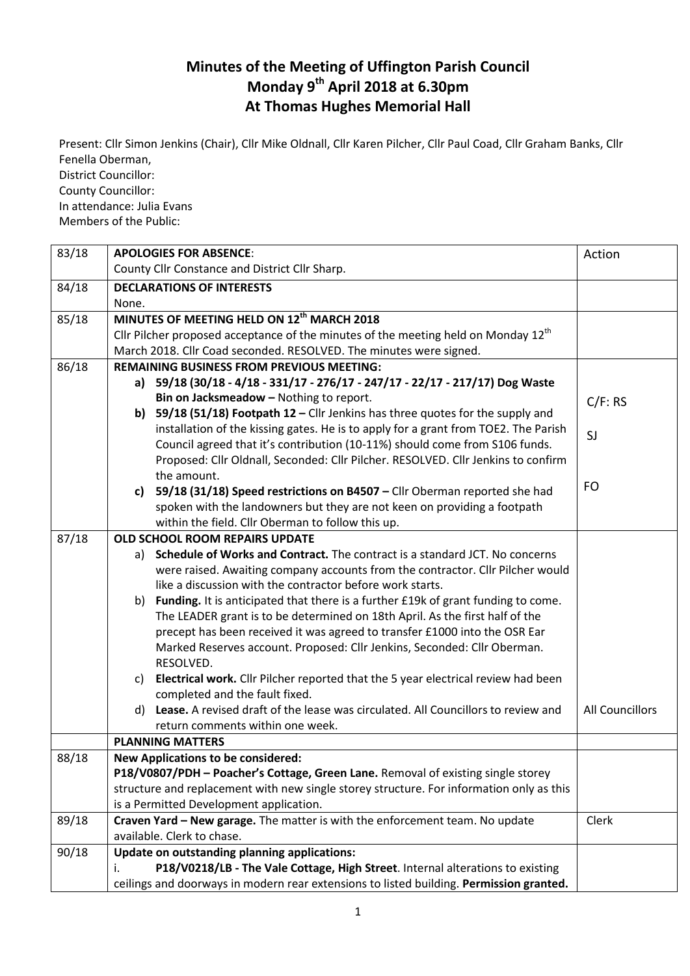## **Minutes of the Meeting of Uffington Parish Council Monday 9 th April 2018 at 6.30pm At Thomas Hughes Memorial Hall**

Present: Cllr Simon Jenkins (Chair), Cllr Mike Oldnall, Cllr Karen Pilcher, Cllr Paul Coad, Cllr Graham Banks, Cllr Fenella Oberman, District Councillor: County Councillor: In attendance: Julia Evans

Members of the Public:

| 83/18 | <b>APOLOGIES FOR ABSENCE:</b>                                                            | Action                 |
|-------|------------------------------------------------------------------------------------------|------------------------|
|       | County Cllr Constance and District Cllr Sharp.                                           |                        |
| 84/18 | <b>DECLARATIONS OF INTERESTS</b>                                                         |                        |
|       | None.                                                                                    |                        |
| 85/18 | MINUTES OF MEETING HELD ON 12th MARCH 2018                                               |                        |
|       | Cllr Pilcher proposed acceptance of the minutes of the meeting held on Monday $12th$     |                        |
|       | March 2018. Cllr Coad seconded. RESOLVED. The minutes were signed.                       |                        |
| 86/18 | <b>REMAINING BUSINESS FROM PREVIOUS MEETING:</b>                                         |                        |
|       | a) 59/18 (30/18 - 4/18 - 331/17 - 276/17 - 247/17 - 22/17 - 217/17) Dog Waste            |                        |
|       | Bin on Jacksmeadow - Nothing to report.                                                  | C/F: RS                |
|       | b) 59/18 (51/18) Footpath $12$ – Cllr Jenkins has three quotes for the supply and        |                        |
|       | installation of the kissing gates. He is to apply for a grant from TOE2. The Parish      | SJ                     |
|       | Council agreed that it's contribution (10-11%) should come from S106 funds.              |                        |
|       | Proposed: Cllr Oldnall, Seconded: Cllr Pilcher. RESOLVED. Cllr Jenkins to confirm        |                        |
|       | the amount.                                                                              |                        |
|       | 59/18 (31/18) Speed restrictions on B4507 - Cllr Oberman reported she had<br>c)          | FO                     |
|       | spoken with the landowners but they are not keen on providing a footpath                 |                        |
|       | within the field. Cllr Oberman to follow this up.                                        |                        |
| 87/18 | <b>OLD SCHOOL ROOM REPAIRS UPDATE</b>                                                    |                        |
|       | Schedule of Works and Contract. The contract is a standard JCT. No concerns<br>a)        |                        |
|       | were raised. Awaiting company accounts from the contractor. Cllr Pilcher would           |                        |
|       | like a discussion with the contractor before work starts.                                |                        |
|       | Funding. It is anticipated that there is a further £19k of grant funding to come.<br>b)  |                        |
|       | The LEADER grant is to be determined on 18th April. As the first half of the             |                        |
|       | precept has been received it was agreed to transfer £1000 into the OSR Ear               |                        |
|       | Marked Reserves account. Proposed: Cllr Jenkins, Seconded: Cllr Oberman.                 |                        |
|       | RESOLVED.                                                                                |                        |
|       | Electrical work. Cllr Pilcher reported that the 5 year electrical review had been<br>C)  |                        |
|       | completed and the fault fixed.                                                           |                        |
|       | Lease. A revised draft of the lease was circulated. All Councillors to review and<br>d)  | <b>All Councillors</b> |
|       | return comments within one week.                                                         |                        |
|       | <b>PLANNING MATTERS</b>                                                                  |                        |
| 88/18 | <b>New Applications to be considered:</b>                                                |                        |
|       | P18/V0807/PDH - Poacher's Cottage, Green Lane. Removal of existing single storey         |                        |
|       | structure and replacement with new single storey structure. For information only as this |                        |
|       | is a Permitted Development application.                                                  |                        |
| 89/18 | Craven Yard - New garage. The matter is with the enforcement team. No update             | Clerk                  |
|       | available. Clerk to chase.                                                               |                        |
| 90/18 | Update on outstanding planning applications:                                             |                        |
|       | P18/V0218/LB - The Vale Cottage, High Street. Internal alterations to existing<br>i.     |                        |
|       | ceilings and doorways in modern rear extensions to listed building. Permission granted.  |                        |